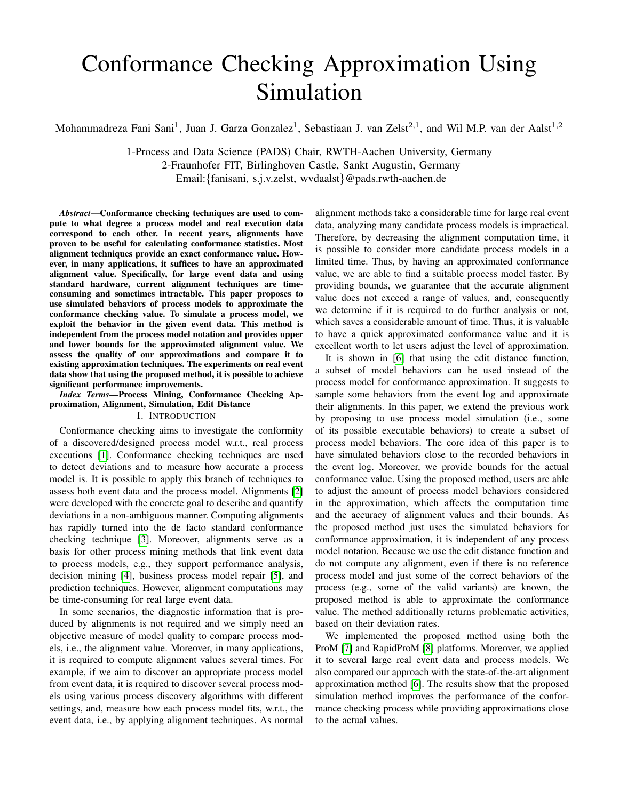# Conformance Checking Approximation Using Simulation

Mohammadreza Fani Sani<sup>1</sup>, Juan J. Garza Gonzalez<sup>1</sup>, Sebastiaan J. van Zelst<sup>2,1</sup>, and Wil M.P. van der Aalst<sup>1,2</sup>

1-Process and Data Science (PADS) Chair, RWTH-Aachen University, Germany 2-Fraunhofer FIT, Birlinghoven Castle, Sankt Augustin, Germany

Email:{fanisani, s.j.v.zelst, wvdaalst}@pads.rwth-aachen.de

*Abstract*—Conformance checking techniques are used to compute to what degree a process model and real execution data correspond to each other. In recent years, alignments have proven to be useful for calculating conformance statistics. Most alignment techniques provide an exact conformance value. However, in many applications, it suffices to have an approximated alignment value. Specifically, for large event data and using standard hardware, current alignment techniques are timeconsuming and sometimes intractable. This paper proposes to use simulated behaviors of process models to approximate the conformance checking value. To simulate a process model, we exploit the behavior in the given event data. This method is independent from the process model notation and provides upper and lower bounds for the approximated alignment value. We assess the quality of our approximations and compare it to existing approximation techniques. The experiments on real event data show that using the proposed method, it is possible to achieve significant performance improvements.

*Index Terms*—Process Mining, Conformance Checking Approximation, Alignment, Simulation, Edit Distance

## I. INTRODUCTION

Conformance checking aims to investigate the conformity of a discovered/designed process model w.r.t., real process executions [\[1\]](#page-7-0). Conformance checking techniques are used to detect deviations and to measure how accurate a process model is. It is possible to apply this branch of techniques to assess both event data and the process model. Alignments [\[2\]](#page-7-1) were developed with the concrete goal to describe and quantify deviations in a non-ambiguous manner. Computing alignments has rapidly turned into the de facto standard conformance checking technique [\[3\]](#page-7-2). Moreover, alignments serve as a basis for other process mining methods that link event data to process models, e.g., they support performance analysis, decision mining [\[4\]](#page-7-3), business process model repair [\[5\]](#page-7-4), and prediction techniques. However, alignment computations may be time-consuming for real large event data.

In some scenarios, the diagnostic information that is produced by alignments is not required and we simply need an objective measure of model quality to compare process models, i.e., the alignment value. Moreover, in many applications, it is required to compute alignment values several times. For example, if we aim to discover an appropriate process model from event data, it is required to discover several process models using various process discovery algorithms with different settings, and, measure how each process model fits, w.r.t., the event data, i.e., by applying alignment techniques. As normal

alignment methods take a considerable time for large real event data, analyzing many candidate process models is impractical. Therefore, by decreasing the alignment computation time, it is possible to consider more candidate process models in a limited time. Thus, by having an approximated conformance value, we are able to find a suitable process model faster. By providing bounds, we guarantee that the accurate alignment value does not exceed a range of values, and, consequently we determine if it is required to do further analysis or not, which saves a considerable amount of time. Thus, it is valuable to have a quick approximated conformance value and it is excellent worth to let users adjust the level of approximation.

It is shown in [\[6\]](#page-7-5) that using the edit distance function, a subset of model behaviors can be used instead of the process model for conformance approximation. It suggests to sample some behaviors from the event log and approximate their alignments. In this paper, we extend the previous work by proposing to use process model simulation (i.e., some of its possible executable behaviors) to create a subset of process model behaviors. The core idea of this paper is to have simulated behaviors close to the recorded behaviors in the event log. Moreover, we provide bounds for the actual conformance value. Using the proposed method, users are able to adjust the amount of process model behaviors considered in the approximation, which affects the computation time and the accuracy of alignment values and their bounds. As the proposed method just uses the simulated behaviors for conformance approximation, it is independent of any process model notation. Because we use the edit distance function and do not compute any alignment, even if there is no reference process model and just some of the correct behaviors of the process (e.g., some of the valid variants) are known, the proposed method is able to approximate the conformance value. The method additionally returns problematic activities, based on their deviation rates.

We implemented the proposed method using both the ProM [\[7\]](#page-7-6) and RapidProM [\[8\]](#page-7-7) platforms. Moreover, we applied it to several large real event data and process models. We also compared our approach with the state-of-the-art alignment approximation method [\[6\]](#page-7-5). The results show that the proposed simulation method improves the performance of the conformance checking process while providing approximations close to the actual values.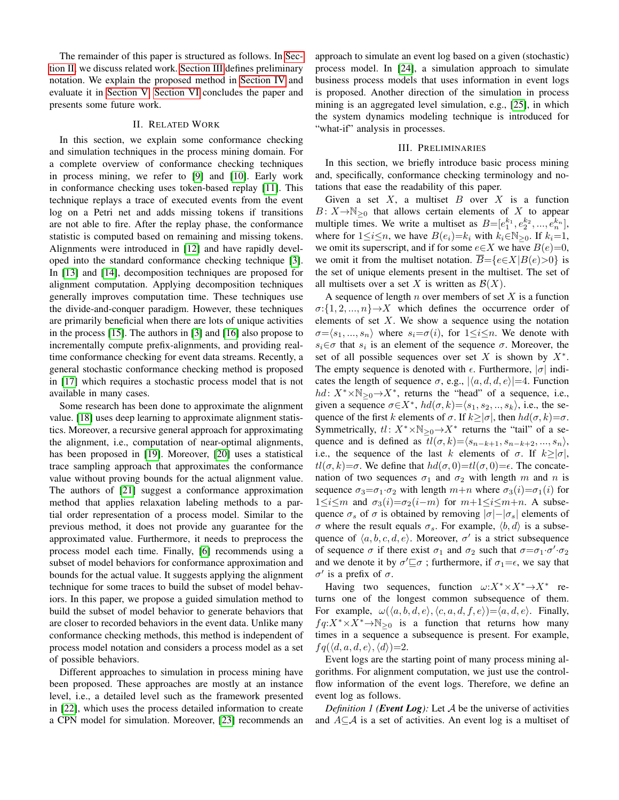The remainder of this paper is structured as follows. In [Sec](#page-1-0)[tion II,](#page-1-0) we discuss related work. [Section III](#page-1-1) defines preliminary notation. We explain the proposed method in [Section IV](#page-2-0) and evaluate it in [Section V.](#page-4-0) [Section VI](#page-6-0) concludes the paper and presents some future work.

#### II. RELATED WORK

<span id="page-1-0"></span>In this section, we explain some conformance checking and simulation techniques in the process mining domain. For a complete overview of conformance checking techniques in process mining, we refer to [\[9\]](#page-7-8) and [\[10\]](#page-7-9). Early work in conformance checking uses token-based replay [\[11\]](#page-7-10). This technique replays a trace of executed events from the event log on a Petri net and adds missing tokens if transitions are not able to fire. After the replay phase, the conformance statistic is computed based on remaining and missing tokens. Alignments were introduced in [\[12\]](#page-7-11) and have rapidly developed into the standard conformance checking technique [\[3\]](#page-7-2). In [\[13\]](#page-7-12) and [\[14\]](#page-7-13), decomposition techniques are proposed for alignment computation. Applying decomposition techniques generally improves computation time. These techniques use the divide-and-conquer paradigm. However, these techniques are primarily beneficial when there are lots of unique activities in the process [\[15\]](#page-7-14). The authors in [\[3\]](#page-7-2) and [\[16\]](#page-7-15) also propose to incrementally compute prefix-alignments, and providing realtime conformance checking for event data streams. Recently, a general stochastic conformance checking method is proposed in [\[17\]](#page-7-16) which requires a stochastic process model that is not available in many cases.

Some research has been done to approximate the alignment value. [\[18\]](#page-7-17) uses deep learning to approximate alignment statistics. Moreover, a recursive general approach for approximating the alignment, i.e., computation of near-optimal alignments, has been proposed in [\[19\]](#page-7-18). Moreover, [\[20\]](#page-7-19) uses a statistical trace sampling approach that approximates the conformance value without proving bounds for the actual alignment value. The authors of [\[21\]](#page-7-20) suggest a conformance approximation method that applies relaxation labeling methods to a partial order representation of a process model. Similar to the previous method, it does not provide any guarantee for the approximated value. Furthermore, it needs to preprocess the process model each time. Finally, [\[6\]](#page-7-5) recommends using a subset of model behaviors for conformance approximation and bounds for the actual value. It suggests applying the alignment technique for some traces to build the subset of model behaviors. In this paper, we propose a guided simulation method to build the subset of model behavior to generate behaviors that are closer to recorded behaviors in the event data. Unlike many conformance checking methods, this method is independent of process model notation and considers a process model as a set of possible behaviors.

Different approaches to simulation in process mining have been proposed. These approaches are mostly at an instance level, i.e., a detailed level such as the framework presented in [\[22\]](#page-7-21), which uses the process detailed information to create a CPN model for simulation. Moreover, [\[23\]](#page-7-22) recommends an approach to simulate an event log based on a given (stochastic) process model. In [\[24\]](#page-7-23), a simulation approach to simulate business process models that uses information in event logs is proposed. Another direction of the simulation in process mining is an aggregated level simulation, e.g., [\[25\]](#page-7-24), in which the system dynamics modeling technique is introduced for "what-if" analysis in processes.

## III. PRELIMINARIES

<span id="page-1-1"></span>In this section, we briefly introduce basic process mining and, specifically, conformance checking terminology and notations that ease the readability of this paper.

Given a set  $X$ , a multiset  $B$  over  $X$  is a function  $B: X \rightarrow \mathbb{N}_{\geq 0}$  that allows certain elements of X to appear multiple times. We write a multiset as  $B=[e_1^{k_1}, e_2^{k_2}, ..., e_n^{k_n}]$ , where for  $1 \leq i \leq n$ , we have  $B(e_i)=k_i$  with  $k_i \in \mathbb{N}_{\geq 0}$ . If  $k_i=1$ , we omit its superscript, and if for some  $e \in X$  we have  $B(e)=0$ , we omit it from the multiset notation.  $\overline{B} = \{e \in X | B(e) > 0\}$  is the set of unique elements present in the multiset. The set of all multisets over a set X is written as  $\mathcal{B}(X)$ .

A sequence of length  $n$  over members of set  $X$  is a function  $\sigma:\{1,2,...,n\}\rightarrow X$  which defines the occurrence order of elements of set  $X$ . We show a sequence using the notation  $\sigma = \langle s_1, ..., s_n \rangle$  where  $s_i = \sigma(i)$ , for  $1 \leq i \leq n$ . We denote with  $s_i \in \sigma$  that  $s_i$  is an element of the sequence  $\sigma$ . Moreover, the set of all possible sequences over set  $X$  is shown by  $X^*$ . The empty sequence is denoted with  $\epsilon$ . Furthermore,  $|\sigma|$  indicates the length of sequence  $\sigma$ , e.g.,  $|\langle a, d, d, e \rangle| = 4$ . Function  $hd: X^* \times \mathbb{N}_{\geq 0} \to X^*$ , returns the "head" of a sequence, i.e., given a sequence  $\sigma \in X^*$ ,  $hd(\sigma, k) = \langle s_1, s_2, ..., s_k \rangle$ , i.e., the sequence of the first k elements of  $\sigma$ . If  $k \ge |\sigma|$ , then  $hd(\sigma, k) = \sigma$ . Symmetrically,  $tl: X^* \times \mathbb{N}_{\geq 0} \rightarrow X^*$  returns the "tail" of a sequence and is defined as  $tl(\sigma, k) = \langle s_{n-k+1}, s_{n-k+2}, ..., s_n \rangle$ , i.e., the sequence of the last k elements of  $\sigma$ . If  $k \ge |\sigma|$ ,  $tl(\sigma, k) = \sigma$ . We define that  $hd(\sigma, 0) = tl(\sigma, 0) = \epsilon$ . The concatenation of two sequences  $\sigma_1$  and  $\sigma_2$  with length m and n is sequence  $\sigma_3 = \sigma_1 \cdot \sigma_2$  with length  $m+n$  where  $\sigma_3(i) = \sigma_1(i)$  for  $1 \leq i \leq m$  and  $\sigma_3(i) = \sigma_2(i-m)$  for  $m+1 \leq i \leq m+n$ . A subsequence  $\sigma_s$  of  $\sigma$  is obtained by removing  $|\sigma| - |\sigma_s|$  elements of σ where the result equals  $\sigma_s$ . For example,  $\langle b, d \rangle$  is a subsequence of  $\langle a, b, c, d, e \rangle$ . Moreover,  $\sigma'$  is a strict subsequence of sequence  $\sigma$  if there exist  $\sigma_1$  and  $\sigma_2$  such that  $\sigma = \sigma_1 \cdot \sigma' \cdot \sigma_2$ and we denote it by  $\sigma' \sqsubseteq \sigma$ ; furthermore, if  $\sigma_1 = \epsilon$ , we say that  $\sigma'$  is a prefix of  $\sigma$ .

Having two sequences, function  $\omega: X^* \times X^* \to X^*$  returns one of the longest common subsequence of them. For example,  $\omega(\langle a, b, d, e \rangle, \langle c, a, d, f, e \rangle) = \langle a, d, e \rangle$ . Finally,  $fq:X^*\times X^*\rightarrow\mathbb{N}_{\geq 0}$  is a function that returns how many times in a sequence a subsequence is present. For example,  $fq(\langle d, a, d, e \rangle, \langle d \rangle)=2.$ 

Event logs are the starting point of many process mining algorithms. For alignment computation, we just use the controlflow information of the event logs. Therefore, we define an event log as follows.

*Definition 1 (Event Log):* Let A be the universe of activities and  $A\subseteq \mathcal{A}$  is a set of activities. An event log is a multiset of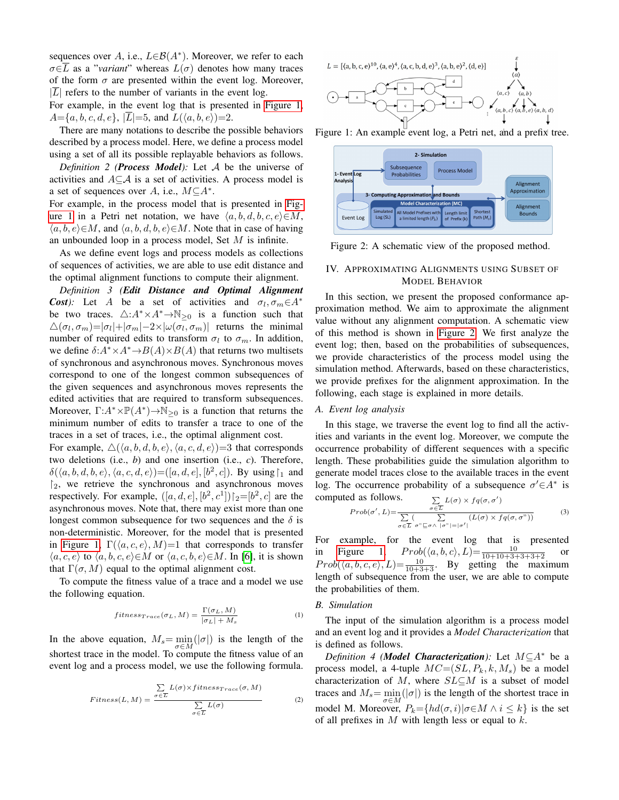sequences over A, i.e.,  $L \in \mathcal{B}(A^*)$ . Moreover, we refer to each  $\sigma \in \overline{L}$  as a "*variant*" whereas  $L(\sigma)$  denotes how many traces of the form  $\sigma$  are presented within the event log. Moreover,  $|L|$  refers to the number of variants in the event log.

For example, in the event log that is presented in [Figure 1,](#page-2-1)  $A = \{a, b, c, d, e\}, |\overline{L}| = 5$ , and  $L(\langle a, b, e \rangle) = 2$ .

There are many notations to describe the possible behaviors described by a process model. Here, we define a process model using a set of all its possible replayable behaviors as follows.

*Definition 2 (Process Model):* Let A be the universe of activities and  $A \subseteq \mathcal{A}$  is a set of activities. A process model is a set of sequences over A, i.e.,  $M \subseteq A^*$ .

For example, in the process model that is presented in [Fig](#page-2-1)[ure 1](#page-2-1) in a Petri net notation, we have  $\langle a, b, d, b, c, e \rangle \in M$ ,  $\langle a, b, e \rangle \in M$ , and  $\langle a, b, d, b, e \rangle \in M$ . Note that in case of having an unbounded loop in a process model, Set M is infinite.

As we define event logs and process models as collections of sequences of activities, we are able to use edit distance and the optimal alignment functions to compute their alignment.

*Definition 3 (Edit Distance and Optimal Alignment Cost*): Let A be a set of activities and  $\sigma_l, \sigma_m \in A^*$ be two traces.  $\triangle: A^* \times A^* \rightarrow \mathbb{N}_{\geq 0}$  is a function such that  $\triangle(\sigma_l, \sigma_m) = |\sigma_l| + |\sigma_m| - 2 \times |\omega(\sigma_l, \sigma_m)|$  returns the minimal number of required edits to transform  $\sigma_l$  to  $\sigma_m$ . In addition, we define  $\delta: A^* \times A^* \to B(A) \times B(A)$  that returns two multisets of synchronous and asynchronous moves. Synchronous moves correspond to one of the longest common subsequences of the given sequences and asynchronous moves represents the edited activities that are required to transform subsequences. Moreover,  $\Gamma: A^* \times \mathbb{P}(A^*) \to \mathbb{N}_{\geq 0}$  is a function that returns the minimum number of edits to transfer a trace to one of the traces in a set of traces, i.e., the optimal alignment cost.

For example,  $\Delta(\langle a, b, d, b, e \rangle, \langle a, c, d, e \rangle) = 3$  that corresponds two deletions (i.e., *b*) and one insertion (i.e., *c*). Therefore,  $\delta(\langle a, b, d, b, e \rangle, \langle a, c, d, e \rangle) = ([a, d, e], [b^2, c])$ . By using  $\upharpoonright_1$  and  $\mathcal{L}_2$ , we retrieve the synchronous and asynchronous moves respectively. For example,  $([a, d, e], [b^2, c^1])|_2 = [b^2, c]$  are the asynchronous moves. Note that, there may exist more than one longest common subsequence for two sequences and the  $\delta$  is non-deterministic. Moreover, for the model that is presented in [Figure 1,](#page-2-1)  $\Gamma(\langle a, c, e \rangle, M)=1$  that corresponds to transfer  $\langle a, c, e \rangle$  to  $\langle a, b, c, e \rangle \in M$  or  $\langle a, c, b, e \rangle \in M$ . In [\[6\]](#page-7-5), it is shown that  $\Gamma(\sigma, M)$  equal to the optimal alignment cost.

To compute the fitness value of a trace and a model we use the following equation.

<span id="page-2-4"></span>
$$
fitness_{Trace}(\sigma_L, M) = \frac{\Gamma(\sigma_L, M)}{|\sigma_L| + M_s}
$$
 (1)

<span id="page-2-5"></span>In the above equation,  $M_s = \min_{\sigma \in M} (|\sigma|)$  is the length of the shortest trace in the model. To compute the fitness value of an event log and a process model, we use the following formula.

$$
Fitness(L, M) = \frac{\sum_{\sigma \in \overline{L}} L(\sigma) \times fitness_{Trace}(\sigma, M)}{\sum_{\sigma \in \overline{L}} L(\sigma)}
$$
(2)

<span id="page-2-1"></span>

Figure 1: An example event log, a Petri net, and a prefix tree.



Figure 2: A schematic view of the proposed method.

## <span id="page-2-3"></span><span id="page-2-0"></span>IV. APPROXIMATING ALIGNMENTS USING SUBSET OF MODEL BEHAVIOR

In this section, we present the proposed conformance approximation method. We aim to approximate the alignment value without any alignment computation. A schematic view of this method is shown in [Figure 2.](#page-2-1) We first analyze the event log; then, based on the probabilities of subsequences, we provide characteristics of the process model using the simulation method. Afterwards, based on these characteristics, we provide prefixes for the alignment approximation. In the following, each stage is explained in more details.

#### *A. Event log analysis*

In this stage, we traverse the event log to find all the activities and variants in the event log. Moreover, we compute the occurrence probability of different sequences with a specific length. These probabilities guide the simulation algorithm to generate model traces close to the available traces in the event log. The occurrence probability of a subsequence  $\sigma' \in A^*$  is computed as follows.

<span id="page-2-2"></span>ed as follows. 
$$
\sum_{\sigma \in \overline{L}} L(\sigma) \times f q(\sigma, \sigma')
$$

$$
Prob(\sigma', L) = \frac{\sum_{\sigma \in \overline{L}} (\sum_{\sigma'' \subseteq \sigma \land |\sigma''| = |\sigma'|} (L(\sigma) \times f q(\sigma, \sigma''))}{\sum_{\sigma \in \overline{L}} \sigma'' \subseteq \sigma \land |\sigma''| = |\sigma'|} (3)
$$

For example, for the event log that is presented in [Figure 1,](#page-2-1)  $Prob(\langle a, b, c \rangle, L) = \frac{10}{10 + 10 + 3 + 3 + 3 + 2}$  or  $Prob(\langle a, b, c, e \rangle, L) = \frac{10}{10+3+3}$ . By getting the maximum length of subsequence from the user, we are able to compute the probabilities of them.

#### *B. Simulation*

The input of the simulation algorithm is a process model and an event log and it provides a *Model Characterization* that is defined as follows.

*Definition 4 (Model Characterization):* Let M⊆A<sup>∗</sup> be a process model, a 4-tuple  $MC=(SL, P_k, k, M_s)$  be a model characterization of M, where  $SL \subseteq M$  is a subset of model traces and  $M_s = \min_{\sigma \in M}(|\sigma|)$  is the length of the shortest trace in model M. Moreover,  $P_k = \{ hd(\sigma, i) | \sigma \in M \land i \leq k \}$  is the set of all prefixes in  $M$  with length less or equal to  $k$ .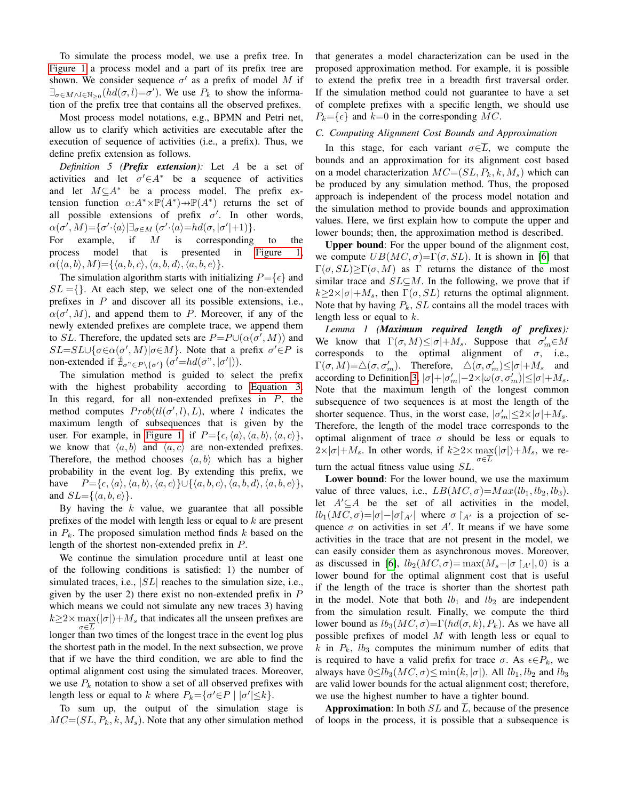To simulate the process model, we use a prefix tree. In [Figure 1](#page-2-1) a process model and a part of its prefix tree are shown. We consider sequence  $\sigma'$  as a prefix of model M if  $\exists_{\sigma \in M \wedge l \in \mathbb{N}_{>0}} (hd(\sigma, l) = \sigma')$ . We use  $P_k$  to show the information of the prefix tree that contains all the observed prefixes.

Most process model notations, e.g., BPMN and Petri net, allow us to clarify which activities are executable after the execution of sequence of activities (i.e., a prefix). Thus, we define prefix extension as follows.

*Definition 5 (Prefix extension):* Let A be a set of activities and let  $\sigma' \in A^*$  be a sequence of activities and let  $M\subseteq A^*$  be a process model. The prefix extension function  $\alpha:A^*\times\mathbb{P}(A^*)\to\mathbb{P}(A^*)$  returns the set of all possible extensions of prefix  $\sigma'$ . In other words,  $\alpha(\sigma', M) = {\sigma' \cdot \langle a \rangle | \exists_{\sigma \in M} (\sigma' \cdot \langle a \rangle = hd(\sigma, |\sigma'| + 1)}.$ 

For example, if  $M$  is corresponding to the process model that is presented in [Figure 1,](#page-2-1)  $\alpha(\langle a, b \rangle, M) = {\langle a, b, c \rangle, \langle a, b, d \rangle, \langle a, b, e \rangle}.$ 

The simulation algorithm starts with initializing  $P = \{ \epsilon \}$  and  $SL = \{\}$ . At each step, we select one of the non-extended prefixes in  $P$  and discover all its possible extensions, i.e.,  $\alpha(\sigma', M)$ , and append them to P. Moreover, if any of the newly extended prefixes are complete trace, we append them to SL. Therefore, the updated sets are  $P = P \cup (\alpha(\sigma', M))$  and  $SL = SL \cup {\sigma \in \alpha(\sigma', M) | \sigma \in M}$ . Note that a prefix  $\sigma' \in P$  is non-extended if  $\mathcal{H}_{\sigma^{\prime\prime}\in P\setminus{\{\sigma'\}}}(\sigma'=hd(\sigma^{\prime\prime},|\sigma'|)).$ 

The simulation method is guided to select the prefix with the highest probability according to [Equation 3.](#page-2-2) In this regard, for all non-extended prefixes in  $P$ , the method computes  $Prob(tl(\sigma', l), L)$ , where l indicates the maximum length of subsequences that is given by the user. For example, in [Figure 1,](#page-2-1) if  $P = {\epsilon, \langle a \rangle, \langle a, b \rangle, \langle a, c \rangle}$ , we know that  $\langle a, b \rangle$  and  $\langle a, c \rangle$  are non-extended prefixes. Therefore, the method chooses  $\langle a, b \rangle$  which has a higher probability in the event log. By extending this prefix, we have  $P=\{\epsilon, \langle a \rangle, \langle a, b \rangle, \langle a, c \rangle\} \cup \{\langle a, b, c \rangle, \langle a, b, d \rangle, \langle a, b, e \rangle\},\$ and  $SL = \{ \langle a, b, e \rangle \}.$ 

By having the  $k$  value, we guarantee that all possible prefixes of the model with length less or equal to  $k$  are present in  $P_k$ . The proposed simulation method finds k based on the length of the shortest non-extended prefix in P.

We continue the simulation procedure until at least one of the following conditions is satisfied: 1) the number of simulated traces, i.e.,  $|SL|$  reaches to the simulation size, i.e., given by the user 2) there exist no non-extended prefix in  $P$ which means we could not simulate any new traces 3) having  $k \ge 2 \times \max(|\sigma|) + M_s$  that indicates all the unseen prefixes are longer than two times of the longest trace in the event log plus the shortest path in the model. In the next subsection, we prove that if we have the third condition, we are able to find the optimal alignment cost using the simulated traces. Moreover, we use  $P_k$  notation to show a set of all observed prefixes with length less or equal to k where  $P_k = \{ \sigma' \in P \mid |\sigma'| \le k \}.$ 

To sum up, the output of the simulation stage is  $MC = (SL, P_k, k, M_s)$ . Note that any other simulation method that generates a model characterization can be used in the proposed approximation method. For example, it is possible to extend the prefix tree in a breadth first traversal order. If the simulation method could not guarantee to have a set of complete prefixes with a specific length, we should use  $P_k = \{\epsilon\}$  and  $k=0$  in the corresponding MC.

## *C. Computing Alignment Cost Bounds and Approximation*

In this stage, for each variant  $\sigma \in \overline{L}$ , we compute the bounds and an approximation for its alignment cost based on a model characterization  $MC = (SL, P_k, k, M_s)$  which can be produced by any simulation method. Thus, the proposed approach is independent of the process model notation and the simulation method to provide bounds and approximation values. Here, we first explain how to compute the upper and lower bounds; then, the approximation method is described.

Upper bound: For the upper bound of the alignment cost, we compute  $UB(MC, \sigma) = \Gamma(\sigma, SL)$ . It is shown in [\[6\]](#page-7-5) that  $\Gamma(\sigma, SL) > \Gamma(\sigma, M)$  as Γ returns the distance of the most similar trace and  $SL \subseteq M$ . In the following, we prove that if  $k \geq 2 \times |\sigma| + M_s$ , then  $\Gamma(\sigma, SL)$  returns the optimal alignment. Note that by having  $P_k$ ,  $SL$  contains all the model traces with length less or equal to  $k$ .

*Lemma 1 (Maximum required length of prefixes):* We know that  $\Gamma(\sigma, M) \leq |\sigma| + M_s$ . Suppose that  $\sigma'_m \in M$ corresponds to the optimal alignment of  $\sigma$ , i.e.,  $\Gamma(\sigma, M) = \triangle(\sigma, \sigma'_m)$ . Therefore,  $\triangle(\sigma, \sigma'_m) \le |\sigma| + M_s$  and according to Definition [3,](#page-2-3)  $|\sigma| + |\sigma'_{m}| - 2 \times |\omega(\sigma, \sigma'_{m})| \le |\sigma| + M_s$ . Note that the maximum length of the longest common subsequence of two sequences is at most the length of the shorter sequence. Thus, in the worst case,  $|\sigma'_m| \leq 2 \times |\sigma| + M_s$ . Therefore, the length of the model trace corresponds to the optimal alignment of trace  $\sigma$  should be less or equals to  $2\times|\sigma|+M_s$ . In other words, if  $k\geq2\times\max(|\sigma|)+M_s$ , we re- $\sigma \in L$ turn the actual fitness value using SL.

Lower bound: For the lower bound, we use the maximum value of three values, i.e.,  $LB(MC, \sigma) = Max(lb_1, lb_2, lb_3)$ . let  $A' \subseteq A$  be the set of all activities in the model,  $lb_1(MC, \sigma) = |\sigma| - |\sigma|_{A'}|$  where  $\sigma |_{A'}|$  is a projection of sequence  $\sigma$  on activities in set A'. It means if we have some activities in the trace that are not present in the model, we can easily consider them as asynchronous moves. Moreover, as discussed in [\[6\]](#page-7-5),  $lb_2(MC, \sigma) = \max(M_s - |\sigma|_{A'}|, 0)$  is a lower bound for the optimal alignment cost that is useful if the length of the trace is shorter than the shortest path in the model. Note that both  $lb_1$  and  $lb_2$  are independent from the simulation result. Finally, we compute the third lower bound as  $lb_3(MC, σ) = Γ(hd(σ, k), P_k)$ . As we have all possible prefixes of model  $M$  with length less or equal to k in  $P_k$ ,  $lb_3$  computes the minimum number of edits that is required to have a valid prefix for trace  $\sigma$ . As  $\epsilon \in P_k$ , we always have  $0 \le lb_3(MC, \sigma) \le min(k, |\sigma|)$ . All  $lb_1, lb_2$  and  $lb_3$ are valid lower bounds for the actual alignment cost; therefore, we use the highest number to have a tighter bound.

**Approximation:** In both  $SL$  and  $\overline{L}$ , because of the presence of loops in the process, it is possible that a subsequence is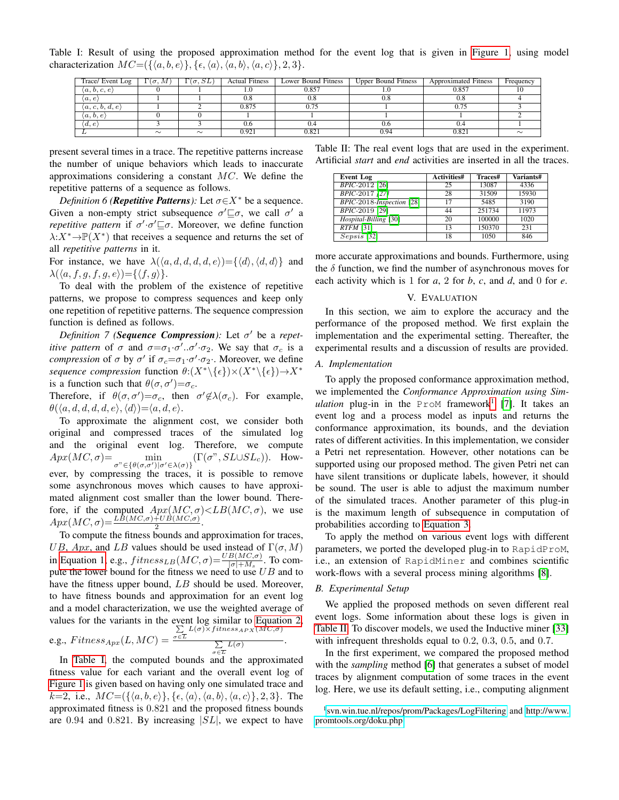<span id="page-4-1"></span>Table I: Result of using the proposed approximation method for the event log that is given in [Figure 1,](#page-2-1) using model characterization  $MC = (\{\langle a, b, e \rangle\}, \{\epsilon, \langle a \rangle, \langle a, b \rangle, \langle a, c \rangle\}, 2, 3\}.$ 

| Trace/ Event Log                | $\Gamma(\sigma, M)$ | $\Gamma(\sigma, SL)$ | <b>Actual Fitness</b> | Lower Bound Fitness | <b>Upper Bound Fitness</b> | <b>Approximated Fitness</b> | Frequency |
|---------------------------------|---------------------|----------------------|-----------------------|---------------------|----------------------------|-----------------------------|-----------|
| $\langle a,b,c,e \rangle$       |                     |                      | 1.0                   | 0.857               | 1.U                        | 0.857                       |           |
| $\langle a,e\rangle$            |                     |                      | 0.8                   | 0.8                 | 0.8                        | 0.8                         |           |
| $\langle a, c, b, d, e \rangle$ |                     |                      | 0.875                 | 0.75                |                            | 0.75                        |           |
| $\langle a,b,e\rangle$          |                     |                      |                       |                     |                            |                             |           |
| $\langle d, e \rangle$          |                     |                      | 0.6                   | 0.4                 | 0.6                        | 0.4                         |           |
|                                 | $\sim$              | $\sim$               | 0.921                 | 0.821               | 0.94                       | 0.821                       | $\sim$    |

present several times in a trace. The repetitive patterns increase the number of unique behaviors which leads to inaccurate approximations considering a constant  $MC$ . We define the repetitive patterns of a sequence as follows.

*Definition 6 (Repetitive Patterns):* Let  $\sigma \in X^*$  be a sequence. Given a non-empty strict subsequence  $\sigma' \sqsubseteq \sigma$ , we call  $\sigma'$  a *repetitive pattern* if  $\sigma' \cdot \sigma' \sqsubseteq \sigma$ . Moreover, we define function  $\lambda: X^* \to \mathbb{P}(X^*)$  that receives a sequence and returns the set of all *repetitive patterns* in it.

For instance, we have  $\lambda(\langle a, d, d, d, d, e \rangle) = {\langle d \rangle}, {\langle d, d \rangle}$  and  $\lambda(\langle a, f, g, f, g, e \rangle) = \{ \langle f, g \rangle \}.$ 

To deal with the problem of the existence of repetitive patterns, we propose to compress sequences and keep only one repetition of repetitive patterns. The sequence compression function is defined as follows.

*Definition* 7 (*Sequence Compression*): Let  $\sigma'$  be a *repetitive pattern* of  $\sigma$  and  $\sigma = \sigma_1 \cdot \sigma' \cdot \sigma_2$ . We say that  $\sigma_c$  is a *compression* of  $\sigma$  by  $\sigma'$  if  $\sigma_c = \sigma_1 \cdot \sigma' \cdot \sigma_2$ . Moreover, we define *sequence compression* function  $\theta$ :(X<sup>\*</sup>\{ $\epsilon$ })×(X<sup>\*</sup>\{ $\epsilon$ })→X<sup>\*</sup> is a function such that  $\theta(\sigma, \sigma') = \sigma_c$ .

Therefore, if  $\theta(\sigma, \sigma') = \sigma_c$ , then  $\sigma' \notin \lambda(\sigma_c)$ . For example,  $\theta(\langle a, d, d, d, d, e \rangle, \langle d \rangle) = \langle a, d, e \rangle.$ 

To approximate the alignment cost, we consider both original and compressed traces of the simulated log and the original event log. Therefore, we compute  $Apx(MC,\sigma) = \min_{\sigma^{\prime\prime} \in \{\theta(\sigma,\sigma')|\sigma'\in\lambda(\sigma)\}} (\Gamma(\sigma^{\prime\prime},SL\cup SL_c)).$  However, by compressing the traces, it is possible to remove some asynchronous moves which causes to have approximated alignment cost smaller than the lower bound. Therefore, if the computed  $Apx(MC, \sigma) \leq LB(MC, \sigma)$ , we use  $Apx(MC,\sigma) = \frac{LB(MC,\sigma) + UB(MC,\sigma)}{2}$ .

To compute the fitness bounds and approximation for traces, UB, Apx, and LB values should be used instead of  $\Gamma(\sigma, M)$ in [Equation 1,](#page-2-4) e.g.,  $fitness_{LB}(MC, \sigma) = \frac{UB(MC, \sigma)}{|\sigma| + M_s}$ . To compute the lower bound for the fitness we need to use  $UB$  and to have the fitness upper bound, LB should be used. Moreover, to have fitness bounds and approximation for an event log and a model characterization, we use the weighted average of values for the variants in the event log similar to [Equation 2,](#page-2-5)  $\sum L(\sigma) \times fitness_{APX}(MC,\sigma)$ 

e.g., 
$$
Fitness_{Apx}(L, MC) = \frac{\sigma \in \Sigma}{\sum_{\sigma \in \overline{L}} L(\sigma)}
$$

In [Table I,](#page-4-1) the computed bounds and the approximated fitness value for each variant and the overall event log of [Figure 1](#page-2-1) is given based on having only one simulated trace and  $k=2$ , i.e.,  $MC=(\{\langle a, b, e \rangle\}, \{\epsilon, \langle a \rangle, \langle a, b \rangle, \langle a, c \rangle\}, 2, 3\}.$  The approximated fitness is 0.821 and the proposed fitness bounds are  $0.94$  and  $0.821$ . By increasing  $|SL|$ , we expect to have

<span id="page-4-3"></span>Table II: The real event logs that are used in the experiment. Artificial *start* and *end* activities are inserted in all the traces.

| <b>Event Log</b>          | <b>Activities#</b> | Traces# | Variants# |
|---------------------------|--------------------|---------|-----------|
| BPIC-2012 [26]            | 25                 | 13087   | 4336      |
| BPIC-2017 [27]            | 28                 | 31509   | 15930     |
| BPIC-2018-Inspection [28] | 17                 | 5485    | 3190      |
| <b>BPIC-2019</b> [29]     | 44                 | 251734  | 11973     |
| Hospital-Billing [30]     | 20                 | 100000  | 1020      |
| $RTFM$ [31]               | 13                 | 150370  | 231       |
| $Sepsis$ [32]             | 18                 | 1050    | 846       |

more accurate approximations and bounds. Furthermore, using the  $\delta$  function, we find the number of asynchronous moves for each activity which is 1 for *a*, 2 for *b*, *c*, and *d*, and 0 for *e*.

#### V. EVALUATION

<span id="page-4-0"></span>In this section, we aim to explore the accuracy and the performance of the proposed method. We first explain the implementation and the experimental setting. Thereafter, the experimental results and a discussion of results are provided.

#### *A. Implementation*

To apply the proposed conformance approximation method, we implemented the *Conformance Approximation using Sim-*ulation plug-in in the ProM framework<sup>[1](#page-4-2)</sup> [\[7\]](#page-7-6). It takes an event log and a process model as inputs and returns the conformance approximation, its bounds, and the deviation rates of different activities. In this implementation, we consider a Petri net representation. However, other notations can be supported using our proposed method. The given Petri net can have silent transitions or duplicate labels, however, it should be sound. The user is able to adjust the maximum number of the simulated traces. Another parameter of this plug-in is the maximum length of subsequence in computation of probabilities according to [Equation 3.](#page-2-2)

To apply the method on various event logs with different parameters, we ported the developed plug-in to RapidProM, i.e., an extension of RapidMiner and combines scientific work-flows with a several process mining algorithms [\[8\]](#page-7-7).

## *B. Experimental Setup*

.

We applied the proposed methods on seven different real event logs. Some information about these logs is given in [Table II.](#page-4-3) To discover models, we used the Inductive miner [\[33\]](#page-7-32) with infrequent thresholds equal to 0.2, 0.3, 0.5, and 0.7.

In the first experiment, we compared the proposed method with the *sampling* method [\[6\]](#page-7-5) that generates a subset of model traces by alignment computation of some traces in the event log. Here, we use its default setting, i.e., computing alignment

<span id="page-4-2"></span><sup>1</sup> <svn.win.tue.nl/repos/prom/Packages/LogFiltering> and [http://www.](http://www.promtools.org/doku.php) [promtools.org/doku.php](http://www.promtools.org/doku.php)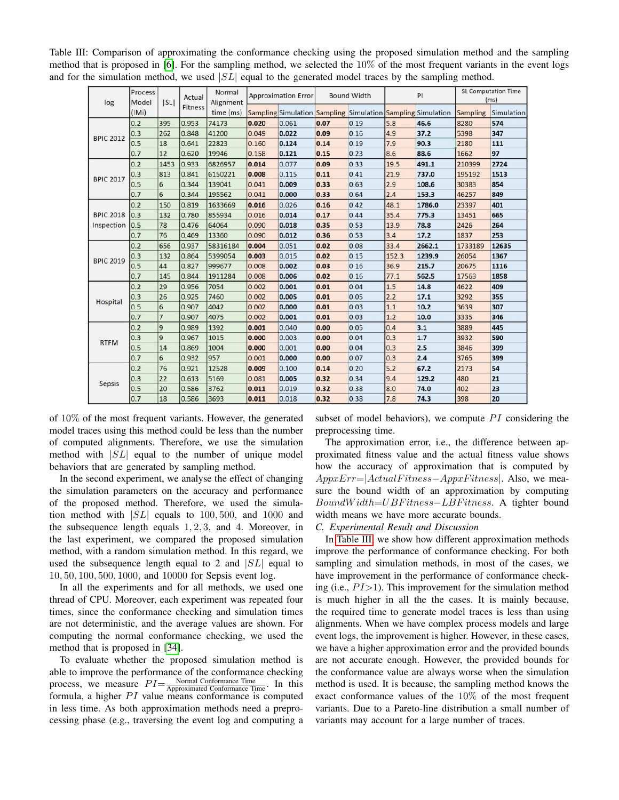<span id="page-5-0"></span>Table III: Comparison of approximating the conformance checking using the proposed simulation method and the sampling method that is proposed in [\[6\]](#page-7-5). For the sampling method, we selected the 10% of the most frequent variants in the event logs and for the simulation method, we used  $|SL|$  equal to the generated model traces by the sampling method.

| log              | Process<br>Model | SL             | Actual<br>Fitness | Normal<br>Alignment | <b>Approximation Error</b> |       | <b>Bound Width</b> |                                                             | PI    |        | <b>SL Computation Time</b><br>(ms) |            |
|------------------|------------------|----------------|-------------------|---------------------|----------------------------|-------|--------------------|-------------------------------------------------------------|-------|--------|------------------------------------|------------|
|                  | (IMi)            |                |                   | time (ms)           |                            |       |                    | Sampling Simulation Sampling Simulation Sampling Simulation |       |        | Sampling                           | Simulation |
|                  | 0.2              | 395            | 0.953             | 74173               | 0.020                      | 0.061 | 0.07               | 0.19                                                        | 5.8   | 46.6   | 8280                               | 574        |
| <b>BPIC 2012</b> | 0.3              | 262            | 0.848             | 41200               | 0.049                      | 0.022 | 0.09               | 0.16                                                        | 4.9   | 37.2   | 5398                               | 347        |
|                  | 0.5              | 18             | 0.641             | 22823               | 0.160                      | 0.124 | 0.14               | 0.19                                                        | 7.9   | 90.3   | 2180                               | 111        |
|                  | 0.7              | 12             | 0.620             | 19946               | 0.158                      | 0.121 | 0.15               | 0.23                                                        | 8.6   | 88.6   | 1662                               | 97         |
|                  | 0.2              | 1453           | 0.933             | 6826957             | 0.014                      | 0.077 | 0.09               | 0.33                                                        | 19.5  | 491.1  | 210399                             | 2724       |
| <b>BPIC 2017</b> | 0.3              | 813            | 0.841             | 6150221             | 0.008                      | 0.115 | 0.11               | 0.41                                                        | 21.9  | 737.0  | 195192                             | 1513       |
|                  | 0.5              | 6              | 0.344             | 139041              | 0.041                      | 0.009 | 0.33               | 0.63                                                        | 2.9   | 108.6  | 30383                              | 854        |
|                  | 0.7              | 6              | 0.344             | 195562              | 0.041                      | 0.000 | 0.33               | 0.64                                                        | 2.4   | 153.3  | 46257                              | 849        |
|                  | 0.2              | 150            | 0.819             | 1633669             | 0.016                      | 0.026 | 0.16               | 0.42                                                        | 48.1  | 1786.0 | 23397                              | 401        |
| <b>BPIC 2018</b> | $ 0.3\rangle$    | 132            | 0.780             | 855934              | 0.016                      | 0.014 | 0.17               | 0.44                                                        | 35.4  | 775.3  | 13451                              | 665        |
| Inspection       | 0.5              | 78             | 0.476             | 64064               | 0.090                      | 0.018 | 0.35               | 0.53                                                        | 13.9  | 78.8   | 2426                               | 264        |
|                  | 0.7              | 76             | 0.469             | 13360               | 0.090                      | 0.012 | 0.36               | 0.53                                                        | 3.4   | 17.2   | 1837                               | 253        |
|                  | 0.2              | 656            | 0.937             | 58316184            | 0.004                      | 0.051 | 0.02               | 0.08                                                        | 33.4  | 2662.1 | 1733189                            | 12635      |
|                  | 0.3              | 132            | 0.864             | 5399054             | 0.003                      | 0.015 | 0.02               | 0.15                                                        | 152.3 | 1239.9 | 26054                              | 1367       |
| <b>BPIC 2019</b> | 0.5              | 44             | 0.827             | 999677              | 0.008                      | 0.002 | 0.03               | 0.16                                                        | 36.9  | 215.7  | 20675                              | 1116       |
|                  | 0.7              | 145            | 0.844             | 1911284             | 0.008                      | 0.006 | 0.02               | 0.16                                                        | 77.1  | 562.5  | 17563                              | 1858       |
|                  | 0.2              | 29             | 0.956             | 7054                | 0.002                      | 0.001 | 0.01               | 0.04                                                        | 1.5   | 14.8   | 4622                               | 409        |
|                  | 0.3              | 26             | 0.925             | 7460                | 0.002                      | 0.005 | 0.01               | 0.05                                                        | 2.2   | 17.1   | 3292                               | 355        |
| Hospital         | 0.5              | 6              | 0.907             | 4042                | 0.002                      | 0.000 | 0.01               | 0.03                                                        | 1.1   | 10.2   | 3639                               | 307        |
|                  | 0.7              | $\overline{7}$ | 0.907             | 4075                | 0.002                      | 0.001 | 0.01               | 0.03                                                        | 1.2   | 10.0   | 3335                               | 346        |
|                  | 0.2              | l9             | 0.989             | 1392                | 0.001                      | 0.040 | 0.00               | 0.05                                                        | 0.4   | 3.1    | 3889                               | 445        |
|                  | 0.3              | 9              | 0.967             | 1015                | 0.000                      | 0.003 | 0.00               | 0.04                                                        | 0.3   | 1.7    | 3932                               | 590        |
| <b>RTFM</b>      | 0.5              | 14             | 0.869             | 1004                | 0.000                      | 0.001 | 0.00               | 0.04                                                        | 0.3   | 2.5    | 3846                               | 399        |
|                  | 0.7              | 6              | 0.932             | 957                 | 0.001                      | 0.000 | 0.00               | 0.07                                                        | 0.3   | 2.4    | 3765                               | 399        |
|                  | 0.2              | 76             | 0.921             | 12528               | 0.009                      | 0.100 | 0.14               | 0.20                                                        | 5.2   | 67.2   | 2173                               | 54         |
| Sepsis           | 0.3              | 22             | 0.613             | 5169                | 0.081                      | 0.005 | 0.32               | 0.34                                                        | 9.4   | 129.2  | 480                                | 21         |
|                  | 0.5              | 20             | 0.586             | 3762                | 0.011                      | 0.019 | 0.32               | 0.38                                                        | 8.0   | 74.0   | 402                                | 23         |
|                  | 0.7              | 18             | 0.586             | 3693                | 0.011                      | 0.018 | 0.32               | 0.38                                                        | 7.8   | 74.3   | 398                                | 20         |

of 10% of the most frequent variants. However, the generated model traces using this method could be less than the number of computed alignments. Therefore, we use the simulation method with  $|SL|$  equal to the number of unique model behaviors that are generated by sampling method.

In the second experiment, we analyse the effect of changing the simulation parameters on the accuracy and performance of the proposed method. Therefore, we used the simulation method with  $|SL|$  equals to 100, 500, and 1000 and the subsequence length equals  $1, 2, 3$ , and 4. Moreover, in the last experiment, we compared the proposed simulation method, with a random simulation method. In this regard, we used the subsequence length equal to 2 and  $|SL|$  equal to 10, 50, 100, 500, 1000, and 10000 for Sepsis event log.

In all the experiments and for all methods, we used one thread of CPU. Moreover, each experiment was repeated four times, since the conformance checking and simulation times are not deterministic, and the average values are shown. For computing the normal conformance checking, we used the method that is proposed in [\[34\]](#page-7-33).

To evaluate whether the proposed simulation method is able to improve the performance of the conformance checking process, we measure  $PI = \frac{Normal\text{ Conformance Time}}{\text{Approximated Conformance Time}}$ . In this formula, a higher  $PI$  value means conformance is computed in less time. As both approximation methods need a preprocessing phase (e.g., traversing the event log and computing a

subset of model behaviors), we compute  $PI$  considering the preprocessing time.

The approximation error, i.e., the difference between approximated fitness value and the actual fitness value shows how the accuracy of approximation that is computed by  $AppxErr=|ActualFitness-AppxFitness|$ . Also, we measure the bound width of an approximation by computing BoundW idth=UBF itness−LBF itness. A tighter bound width means we have more accurate bounds.

# *C. Experimental Result and Discussion*

In [Table III,](#page-5-0) we show how different approximation methods improve the performance of conformance checking. For both sampling and simulation methods, in most of the cases, we have improvement in the performance of conformance checking (i.e.,  $PI > 1$ ). This improvement for the simulation method is much higher in all the the cases. It is mainly because, the required time to generate model traces is less than using alignments. When we have complex process models and large event logs, the improvement is higher. However, in these cases, we have a higher approximation error and the provided bounds are not accurate enough. However, the provided bounds for the conformance value are always worse when the simulation method is used. It is because, the sampling method knows the exact conformance values of the  $10\%$  of the most frequent variants. Due to a Pareto-line distribution a small number of variants may account for a large number of traces.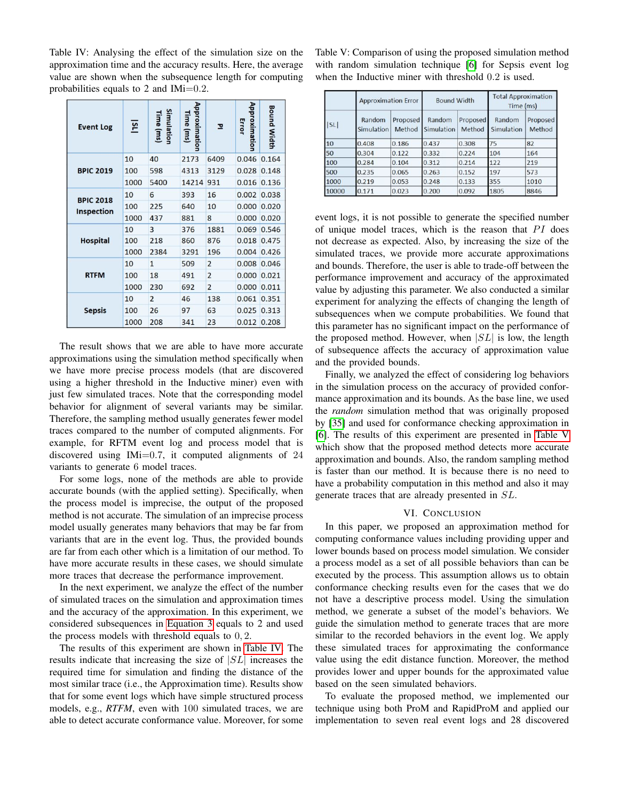<span id="page-6-1"></span>Table IV: Analysing the effect of the simulation size on the approximation time and the accuracy results. Here, the average value are shown when the subsequence length for computing probabilities equals to 2 and IMi=0.2.

| <b>Event Log</b>  | $\overline{\mathbf{s}}$ | Simulation<br><b>Time</b> (ms) | Approximation<br>Time (ms) | 고              | Approximation<br>Error | <b>Bound Width</b> |
|-------------------|-------------------------|--------------------------------|----------------------------|----------------|------------------------|--------------------|
|                   | 10                      | 40                             | 2173                       | 6409           | 0.046                  | 0.164              |
| <b>BPIC 2019</b>  | 100                     | 598                            | 4313                       | 3129           | 0.028                  | 0.148              |
|                   | 1000                    | 5400                           | 14214                      | 931            | 0.016                  | 0.136              |
| <b>BPIC 2018</b>  | 10                      | 6                              | 393                        | 16             | 0.002                  | 0.038              |
| <b>Inspection</b> | 100                     | 225                            | 640                        | 10             | 0.000                  | 0.020              |
|                   | 1000                    | 437                            | 881                        | 8              | 0.000                  | 0.020              |
|                   | 10                      | 3                              | 376                        | 1881           | 0.069                  | 0.546              |
| <b>Hospital</b>   | 100                     | 218                            | 860                        | 876            | 0.018                  | 0.475              |
|                   | 1000                    | 2384                           | 3291                       | 196            | 0.004                  | 0.426              |
|                   | 10                      | $\mathbf{1}$                   | 509                        | $\overline{2}$ | 0.008                  | 0.046              |
| <b>RTFM</b>       | 100                     | 18                             | 491                        | $\overline{2}$ | 0.000                  | 0.021              |
|                   | 1000                    | 230                            | 692                        | $\overline{2}$ | 0.000                  | 0.011              |
|                   | 10                      | $\overline{2}$                 | 46                         | 138            | 0.061                  | 0.351              |
| <b>Sepsis</b>     | 100                     | 26                             | 97                         | 63             | 0.025                  | 0.313              |
|                   | 1000                    | 208                            | 341                        | 23             | 0.012                  | 0.208              |

The result shows that we are able to have more accurate approximations using the simulation method specifically when we have more precise process models (that are discovered using a higher threshold in the Inductive miner) even with just few simulated traces. Note that the corresponding model behavior for alignment of several variants may be similar. Therefore, the sampling method usually generates fewer model traces compared to the number of computed alignments. For example, for RFTM event log and process model that is discovered using IMi=0.7, it computed alignments of 24 variants to generate 6 model traces.

For some logs, none of the methods are able to provide accurate bounds (with the applied setting). Specifically, when the process model is imprecise, the output of the proposed method is not accurate. The simulation of an imprecise process model usually generates many behaviors that may be far from variants that are in the event log. Thus, the provided bounds are far from each other which is a limitation of our method. To have more accurate results in these cases, we should simulate more traces that decrease the performance improvement.

In the next experiment, we analyze the effect of the number of simulated traces on the simulation and approximation times and the accuracy of the approximation. In this experiment, we considered subsequences in [Equation 3](#page-2-2) equals to 2 and used the process models with threshold equals to 0, 2.

The results of this experiment are shown in [Table IV.](#page-6-1) The results indicate that increasing the size of |SL| increases the required time for simulation and finding the distance of the most similar trace (i.e., the Approximation time). Results show that for some event logs which have simple structured process models, e.g., *RTFM*, even with 100 simulated traces, we are able to detect accurate conformance value. Moreover, for some <span id="page-6-2"></span>Table V: Comparison of using the proposed simulation method with random simulation technique [\[6\]](#page-7-5) for Sepsis event log when the Inductive miner with threshold 0.2 is used.

| SL    | <b>Approximation Error</b>  |                    | <b>Bound Width</b>   |                    | <b>Total Approximation</b><br>Time (ms) |                    |  |
|-------|-----------------------------|--------------------|----------------------|--------------------|-----------------------------------------|--------------------|--|
|       | Random<br><b>Simulation</b> | Proposed<br>Method | Random<br>Simulation | Proposed<br>Method | Random<br>Simulation                    | Proposed<br>Method |  |
| 10    | 0.408                       | 0.186              | 0.437                | 0.308              | 75                                      | 82                 |  |
| 50    | 0.304                       | 0.122              | 0.332                | 0.224              | 104                                     | 164                |  |
| 100   | 0.284                       | 0.104              | 0.312                | 0.214              | 122                                     | 219                |  |
| 500   | 0.235                       | 0.065              | 0.263                | 0.152              | 197                                     | 573                |  |
| 1000  | 0.219                       | 0.053              | 0.248                | 0.133              | 355                                     | 1010               |  |
| 10000 | 0.171                       | 0.023              | 0.200                | 0.092              | 1805                                    | 8846               |  |

event logs, it is not possible to generate the specified number of unique model traces, which is the reason that  $PI$  does not decrease as expected. Also, by increasing the size of the simulated traces, we provide more accurate approximations and bounds. Therefore, the user is able to trade-off between the performance improvement and accuracy of the approximated value by adjusting this parameter. We also conducted a similar experiment for analyzing the effects of changing the length of subsequences when we compute probabilities. We found that this parameter has no significant impact on the performance of the proposed method. However, when  $|SL|$  is low, the length of subsequence affects the accuracy of approximation value and the provided bounds.

Finally, we analyzed the effect of considering log behaviors in the simulation process on the accuracy of provided conformance approximation and its bounds. As the base line, we used the *random* simulation method that was originally proposed by [\[35\]](#page-7-34) and used for conformance checking approximation in [\[6\]](#page-7-5). The results of this experiment are presented in [Table V](#page-6-2) which show that the proposed method detects more accurate approximation and bounds. Also, the random sampling method is faster than our method. It is because there is no need to have a probability computation in this method and also it may generate traces that are already presented in SL.

#### VI. CONCLUSION

<span id="page-6-0"></span>In this paper, we proposed an approximation method for computing conformance values including providing upper and lower bounds based on process model simulation. We consider a process model as a set of all possible behaviors than can be executed by the process. This assumption allows us to obtain conformance checking results even for the cases that we do not have a descriptive process model. Using the simulation method, we generate a subset of the model's behaviors. We guide the simulation method to generate traces that are more similar to the recorded behaviors in the event log. We apply these simulated traces for approximating the conformance value using the edit distance function. Moreover, the method provides lower and upper bounds for the approximated value based on the seen simulated behaviors.

To evaluate the proposed method, we implemented our technique using both ProM and RapidProM and applied our implementation to seven real event logs and 28 discovered